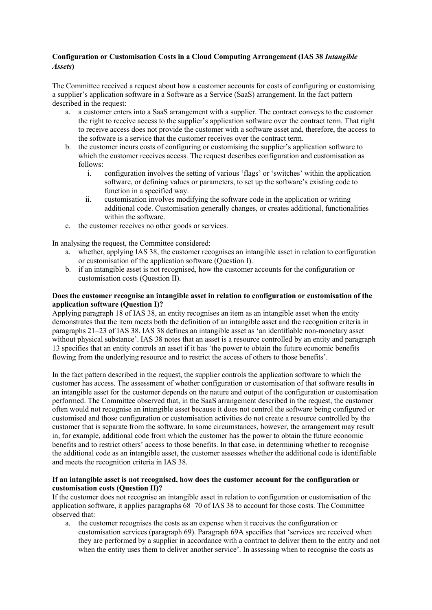## **Configuration or Customisation Costs in a Cloud Computing Arrangement (IAS 38** *Intangible Assets***)**

The Committee received a request about how a customer accounts for costs of configuring or customising a supplier's application software in a Software as a Service (SaaS) arrangement. In the fact pattern described in the request:

- a. a customer enters into a SaaS arrangement with a supplier. The contract conveys to the customer the right to receive access to the supplier's application software over the contract term. That right to receive access does not provide the customer with a software asset and, therefore, the access to the software is a service that the customer receives over the contract term.
- b. the customer incurs costs of configuring or customising the supplier's application software to which the customer receives access. The request describes configuration and customisation as follows:
	- i. configuration involves the setting of various 'flags' or 'switches' within the application software, or defining values or parameters, to set up the software's existing code to function in a specified way.
	- ii. customisation involves modifying the software code in the application or writing additional code. Customisation generally changes, or creates additional, functionalities within the software.
- c. the customer receives no other goods or services.

In analysing the request, the Committee considered:

- a. whether, applying IAS 38, the customer recognises an intangible asset in relation to configuration or customisation of the application software (Question I).
- b. if an intangible asset is not recognised, how the customer accounts for the configuration or customisation costs (Question II).

## **Does the customer recognise an intangible asset in relation to configuration or customisation of the application software (Question I)?**

Applying paragraph 18 of IAS 38, an entity recognises an item as an intangible asset when the entity demonstrates that the item meets both the definition of an intangible asset and the recognition criteria in paragraphs 21–23 of IAS 38. IAS 38 defines an intangible asset as 'an identifiable non-monetary asset without physical substance'. IAS 38 notes that an asset is a resource controlled by an entity and paragraph 13 specifies that an entity controls an asset if it has 'the power to obtain the future economic benefits flowing from the underlying resource and to restrict the access of others to those benefits'.

In the fact pattern described in the request, the supplier controls the application software to which the customer has access. The assessment of whether configuration or customisation of that software results in an intangible asset for the customer depends on the nature and output of the configuration or customisation performed. The Committee observed that, in the SaaS arrangement described in the request, the customer often would not recognise an intangible asset because it does not control the software being configured or customised and those configuration or customisation activities do not create a resource controlled by the customer that is separate from the software. In some circumstances, however, the arrangement may result in, for example, additional code from which the customer has the power to obtain the future economic benefits and to restrict others' access to those benefits. In that case, in determining whether to recognise the additional code as an intangible asset, the customer assesses whether the additional code is identifiable and meets the recognition criteria in IAS 38.

## **If an intangible asset is not recognised, how does the customer account for the configuration or customisation costs (Question II)?**

If the customer does not recognise an intangible asset in relation to configuration or customisation of the application software, it applies paragraphs 68–70 of IAS 38 to account for those costs. The Committee observed that:

a. the customer recognises the costs as an expense when it receives the configuration or customisation services (paragraph 69). Paragraph 69A specifies that 'services are received when they are performed by a supplier in accordance with a contract to deliver them to the entity and not when the entity uses them to deliver another service'. In assessing when to recognise the costs as